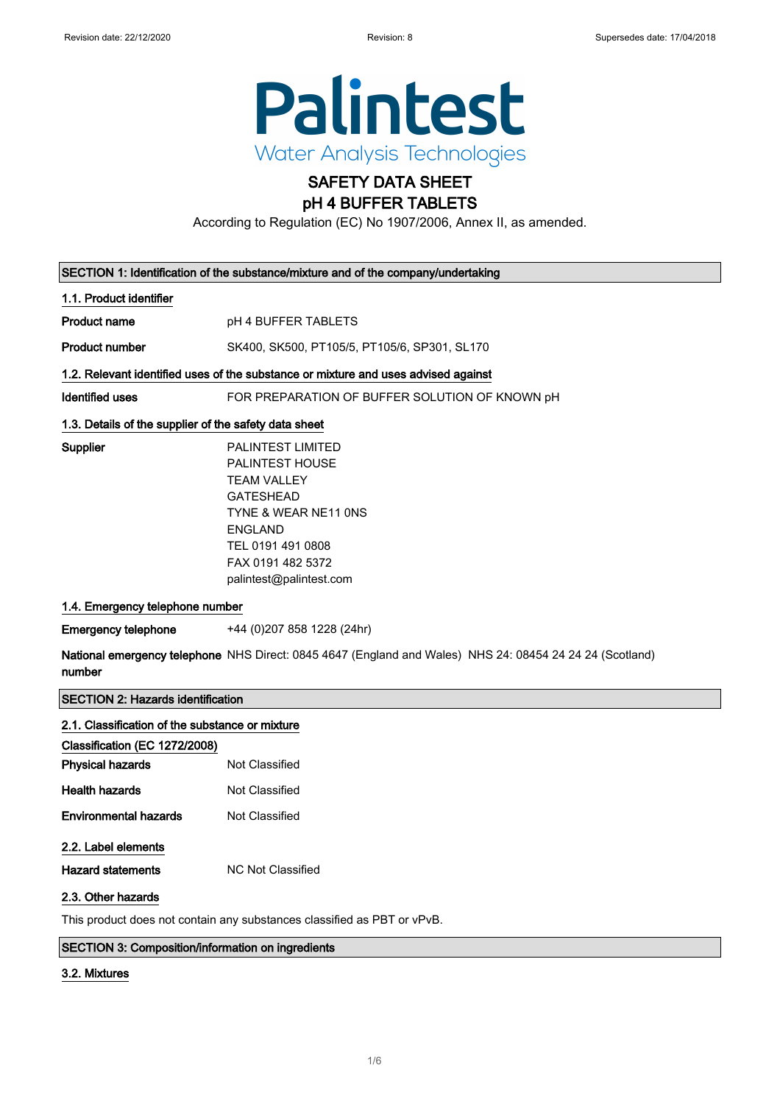

# SAFETY DATA SHEET

## pH 4 BUFFER TABLETS

According to Regulation (EC) No 1907/2006, Annex II, as amended.

| SECTION 1: Identification of the substance/mixture and of the company/undertaking                                  |                                                                                                                                                                                                             |  |
|--------------------------------------------------------------------------------------------------------------------|-------------------------------------------------------------------------------------------------------------------------------------------------------------------------------------------------------------|--|
| 1.1. Product identifier                                                                                            |                                                                                                                                                                                                             |  |
| <b>Product name</b>                                                                                                | pH 4 BUFFER TABLETS                                                                                                                                                                                         |  |
| <b>Product number</b>                                                                                              | SK400, SK500, PT105/5, PT105/6, SP301, SL170                                                                                                                                                                |  |
| 1.2. Relevant identified uses of the substance or mixture and uses advised against                                 |                                                                                                                                                                                                             |  |
| <b>Identified uses</b>                                                                                             | FOR PREPARATION OF BUFFER SOLUTION OF KNOWN pH                                                                                                                                                              |  |
| 1.3. Details of the supplier of the safety data sheet                                                              |                                                                                                                                                                                                             |  |
| Supplier                                                                                                           | <b>PALINTEST LIMITED</b><br><b>PALINTEST HOUSE</b><br><b>TEAM VALLEY</b><br><b>GATESHEAD</b><br>TYNE & WEAR NE11 ONS<br><b>ENGLAND</b><br>TEL 0191 491 0808<br>FAX 0191 482 5372<br>palintest@palintest.com |  |
| 1.4. Emergency telephone number                                                                                    |                                                                                                                                                                                                             |  |
| <b>Emergency telephone</b>                                                                                         | +44 (0)207 858 1228 (24hr)                                                                                                                                                                                  |  |
| National emergency telephone NHS Direct: 0845 4647 (England and Wales) NHS 24: 08454 24 24 24 (Scotland)<br>number |                                                                                                                                                                                                             |  |

#### SECTION 2: Hazards identification

| 2.1. Classification of the substance or mixture                         |                   |  |
|-------------------------------------------------------------------------|-------------------|--|
| Classification (EC 1272/2008)                                           |                   |  |
| <b>Physical hazards</b>                                                 | Not Classified    |  |
| <b>Health hazards</b>                                                   | Not Classified    |  |
| <b>Environmental hazards</b>                                            | Not Classified    |  |
| 2.2. Label elements                                                     |                   |  |
| <b>Hazard statements</b>                                                | NC Not Classified |  |
| 2.3. Other hazards                                                      |                   |  |
| This product does not contain any substances classified as PBT or vPvB. |                   |  |

#### SECTION 3: Composition/information on ingredients

#### 3.2. Mixtures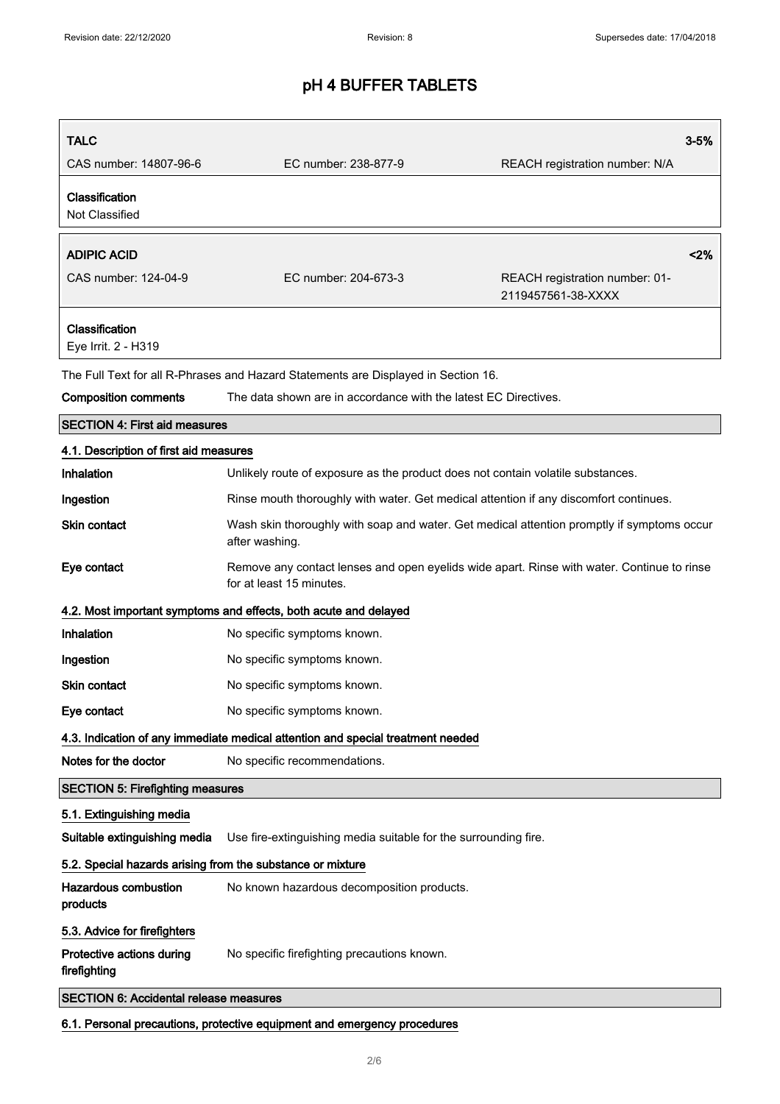| <b>TALC</b>                                                              |                                                                                                                        | $3 - 5%$                                             |  |
|--------------------------------------------------------------------------|------------------------------------------------------------------------------------------------------------------------|------------------------------------------------------|--|
| CAS number: 14807-96-6                                                   | EC number: 238-877-9                                                                                                   | REACH registration number: N/A                       |  |
| Classification<br>Not Classified                                         |                                                                                                                        |                                                      |  |
| <b>ADIPIC ACID</b>                                                       |                                                                                                                        | < 2%                                                 |  |
| CAS number: 124-04-9                                                     | EC number: 204-673-3                                                                                                   | REACH registration number: 01-<br>2119457561-38-XXXX |  |
| Classification<br>Eye Irrit. 2 - H319                                    |                                                                                                                        |                                                      |  |
|                                                                          | The Full Text for all R-Phrases and Hazard Statements are Displayed in Section 16.                                     |                                                      |  |
| <b>Composition comments</b>                                              | The data shown are in accordance with the latest EC Directives.                                                        |                                                      |  |
| <b>SECTION 4: First aid measures</b>                                     |                                                                                                                        |                                                      |  |
| 4.1. Description of first aid measures                                   |                                                                                                                        |                                                      |  |
| Inhalation                                                               | Unlikely route of exposure as the product does not contain volatile substances.                                        |                                                      |  |
| Ingestion                                                                | Rinse mouth thoroughly with water. Get medical attention if any discomfort continues.                                  |                                                      |  |
| <b>Skin contact</b>                                                      | Wash skin thoroughly with soap and water. Get medical attention promptly if symptoms occur<br>after washing.           |                                                      |  |
| Eye contact                                                              | Remove any contact lenses and open eyelids wide apart. Rinse with water. Continue to rinse<br>for at least 15 minutes. |                                                      |  |
|                                                                          | 4.2. Most important symptoms and effects, both acute and delayed                                                       |                                                      |  |
| Inhalation                                                               | No specific symptoms known.                                                                                            |                                                      |  |
| Ingestion                                                                | No specific symptoms known.                                                                                            |                                                      |  |
| <b>Skin contact</b>                                                      | No specific symptoms known.                                                                                            |                                                      |  |
| Eye contact                                                              | No specific symptoms known.                                                                                            |                                                      |  |
|                                                                          | 4.3. Indication of any immediate medical attention and special treatment needed                                        |                                                      |  |
| Notes for the doctor                                                     | No specific recommendations.                                                                                           |                                                      |  |
| <b>SECTION 5: Firefighting measures</b>                                  |                                                                                                                        |                                                      |  |
| 5.1. Extinguishing media                                                 |                                                                                                                        |                                                      |  |
| Suitable extinguishing media                                             | Use fire-extinguishing media suitable for the surrounding fire.                                                        |                                                      |  |
| 5.2. Special hazards arising from the substance or mixture               |                                                                                                                        |                                                      |  |
| <b>Hazardous combustion</b><br>products                                  | No known hazardous decomposition products.                                                                             |                                                      |  |
| 5.3. Advice for firefighters                                             |                                                                                                                        |                                                      |  |
| Protective actions during<br>firefighting                                | No specific firefighting precautions known.                                                                            |                                                      |  |
| <b>SECTION 6: Accidental release measures</b>                            |                                                                                                                        |                                                      |  |
| 6.1. Personal precautions, protective equipment and emergency procedures |                                                                                                                        |                                                      |  |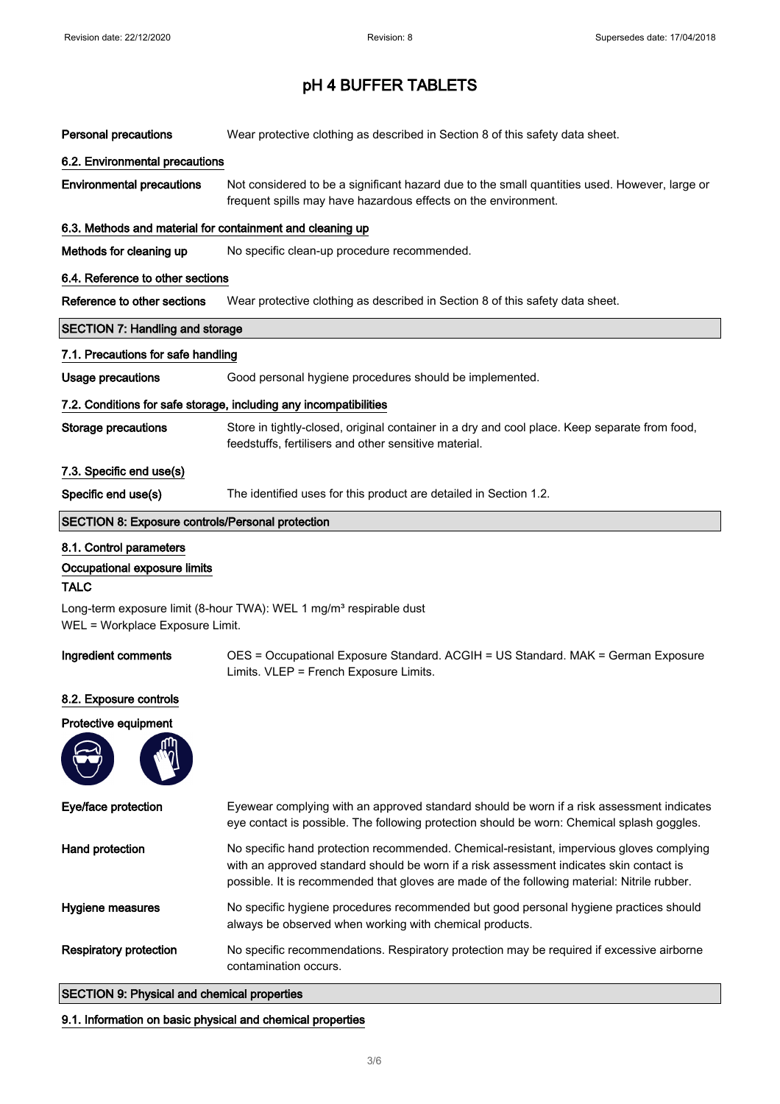| <b>Personal precautions</b>                                                                                       | Wear protective clothing as described in Section 8 of this safety data sheet.                                                                                                                                                                                                      |  |  |  |
|-------------------------------------------------------------------------------------------------------------------|------------------------------------------------------------------------------------------------------------------------------------------------------------------------------------------------------------------------------------------------------------------------------------|--|--|--|
| 6.2. Environmental precautions                                                                                    |                                                                                                                                                                                                                                                                                    |  |  |  |
| <b>Environmental precautions</b>                                                                                  | Not considered to be a significant hazard due to the small quantities used. However, large or<br>frequent spills may have hazardous effects on the environment.                                                                                                                    |  |  |  |
| 6.3. Methods and material for containment and cleaning up                                                         |                                                                                                                                                                                                                                                                                    |  |  |  |
| Methods for cleaning up                                                                                           | No specific clean-up procedure recommended.                                                                                                                                                                                                                                        |  |  |  |
| 6.4. Reference to other sections                                                                                  |                                                                                                                                                                                                                                                                                    |  |  |  |
| Reference to other sections                                                                                       | Wear protective clothing as described in Section 8 of this safety data sheet.                                                                                                                                                                                                      |  |  |  |
| <b>SECTION 7: Handling and storage</b>                                                                            |                                                                                                                                                                                                                                                                                    |  |  |  |
| 7.1. Precautions for safe handling                                                                                |                                                                                                                                                                                                                                                                                    |  |  |  |
| <b>Usage precautions</b>                                                                                          | Good personal hygiene procedures should be implemented.                                                                                                                                                                                                                            |  |  |  |
|                                                                                                                   | 7.2. Conditions for safe storage, including any incompatibilities                                                                                                                                                                                                                  |  |  |  |
| <b>Storage precautions</b>                                                                                        | Store in tightly-closed, original container in a dry and cool place. Keep separate from food,<br>feedstuffs, fertilisers and other sensitive material.                                                                                                                             |  |  |  |
| 7.3. Specific end use(s)                                                                                          |                                                                                                                                                                                                                                                                                    |  |  |  |
| Specific end use(s)                                                                                               | The identified uses for this product are detailed in Section 1.2.                                                                                                                                                                                                                  |  |  |  |
| <b>SECTION 8: Exposure controls/Personal protection</b>                                                           |                                                                                                                                                                                                                                                                                    |  |  |  |
| 8.1. Control parameters<br>Occupational exposure limits<br><b>TALC</b>                                            |                                                                                                                                                                                                                                                                                    |  |  |  |
| Long-term exposure limit (8-hour TWA): WEL 1 mg/m <sup>3</sup> respirable dust<br>WEL = Workplace Exposure Limit. |                                                                                                                                                                                                                                                                                    |  |  |  |
| Ingredient comments                                                                                               | OES = Occupational Exposure Standard. ACGIH = US Standard. MAK = German Exposure<br>Limits. VLEP = French Exposure Limits.                                                                                                                                                         |  |  |  |
| 8.2. Exposure controls                                                                                            |                                                                                                                                                                                                                                                                                    |  |  |  |
| Protective equipment                                                                                              |                                                                                                                                                                                                                                                                                    |  |  |  |
|                                                                                                                   |                                                                                                                                                                                                                                                                                    |  |  |  |
| Eye/face protection                                                                                               | Eyewear complying with an approved standard should be worn if a risk assessment indicates<br>eye contact is possible. The following protection should be worn: Chemical splash goggles.                                                                                            |  |  |  |
| Hand protection                                                                                                   | No specific hand protection recommended. Chemical-resistant, impervious gloves complying<br>with an approved standard should be worn if a risk assessment indicates skin contact is<br>possible. It is recommended that gloves are made of the following material: Nitrile rubber. |  |  |  |
| Hygiene measures                                                                                                  | No specific hygiene procedures recommended but good personal hygiene practices should<br>always be observed when working with chemical products.                                                                                                                                   |  |  |  |
| <b>Respiratory protection</b>                                                                                     | No specific recommendations. Respiratory protection may be required if excessive airborne<br>contamination occurs.                                                                                                                                                                 |  |  |  |
|                                                                                                                   |                                                                                                                                                                                                                                                                                    |  |  |  |

#### SECTION 9: Physical and chemical properties

#### 9.1. Information on basic physical and chemical properties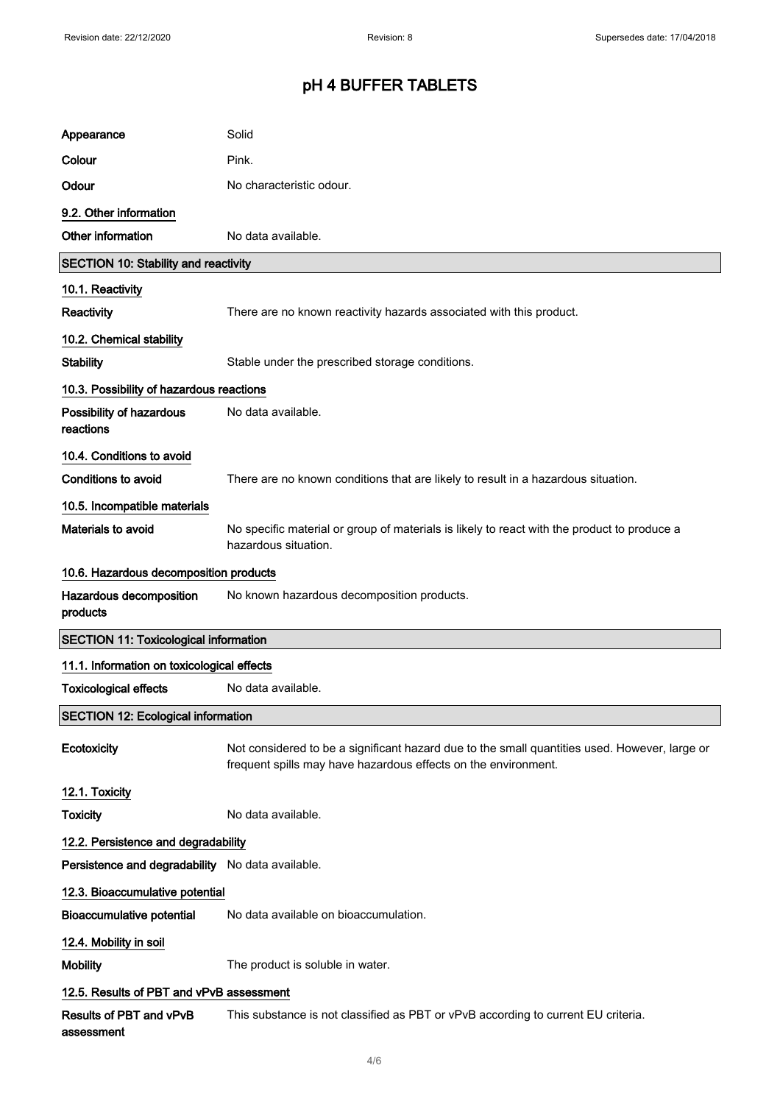| Appearance                                       | Solid                                                                                                                                                           |
|--------------------------------------------------|-----------------------------------------------------------------------------------------------------------------------------------------------------------------|
| Colour                                           | Pink.                                                                                                                                                           |
| Odour                                            | No characteristic odour.                                                                                                                                        |
| 9.2. Other information                           |                                                                                                                                                                 |
| Other information                                | No data available.                                                                                                                                              |
| <b>SECTION 10: Stability and reactivity</b>      |                                                                                                                                                                 |
| 10.1. Reactivity                                 |                                                                                                                                                                 |
| <b>Reactivity</b>                                | There are no known reactivity hazards associated with this product.                                                                                             |
| 10.2. Chemical stability                         |                                                                                                                                                                 |
| <b>Stability</b>                                 | Stable under the prescribed storage conditions.                                                                                                                 |
| 10.3. Possibility of hazardous reactions         |                                                                                                                                                                 |
| Possibility of hazardous<br>reactions            | No data available.                                                                                                                                              |
| 10.4. Conditions to avoid                        |                                                                                                                                                                 |
| <b>Conditions to avoid</b>                       | There are no known conditions that are likely to result in a hazardous situation.                                                                               |
| 10.5. Incompatible materials                     |                                                                                                                                                                 |
| Materials to avoid                               | No specific material or group of materials is likely to react with the product to produce a<br>hazardous situation.                                             |
| 10.6. Hazardous decomposition products           |                                                                                                                                                                 |
|                                                  |                                                                                                                                                                 |
| Hazardous decomposition<br>products              | No known hazardous decomposition products.                                                                                                                      |
| <b>SECTION 11: Toxicological information</b>     |                                                                                                                                                                 |
| 11.1. Information on toxicological effects       |                                                                                                                                                                 |
| <b>Toxicological effects</b>                     | No data available.                                                                                                                                              |
| <b>SECTION 12: Ecological information</b>        |                                                                                                                                                                 |
| Ecotoxicity                                      | Not considered to be a significant hazard due to the small quantities used. However, large or<br>frequent spills may have hazardous effects on the environment. |
| 12.1. Toxicity                                   |                                                                                                                                                                 |
| <b>Toxicity</b>                                  | No data available.                                                                                                                                              |
| 12.2. Persistence and degradability              |                                                                                                                                                                 |
| Persistence and degradability No data available. |                                                                                                                                                                 |
| 12.3. Bioaccumulative potential                  |                                                                                                                                                                 |
| <b>Bioaccumulative potential</b>                 | No data available on bioaccumulation.                                                                                                                           |
| 12.4. Mobility in soil                           |                                                                                                                                                                 |
| <b>Mobility</b>                                  | The product is soluble in water.                                                                                                                                |
| 12.5. Results of PBT and vPvB assessment         |                                                                                                                                                                 |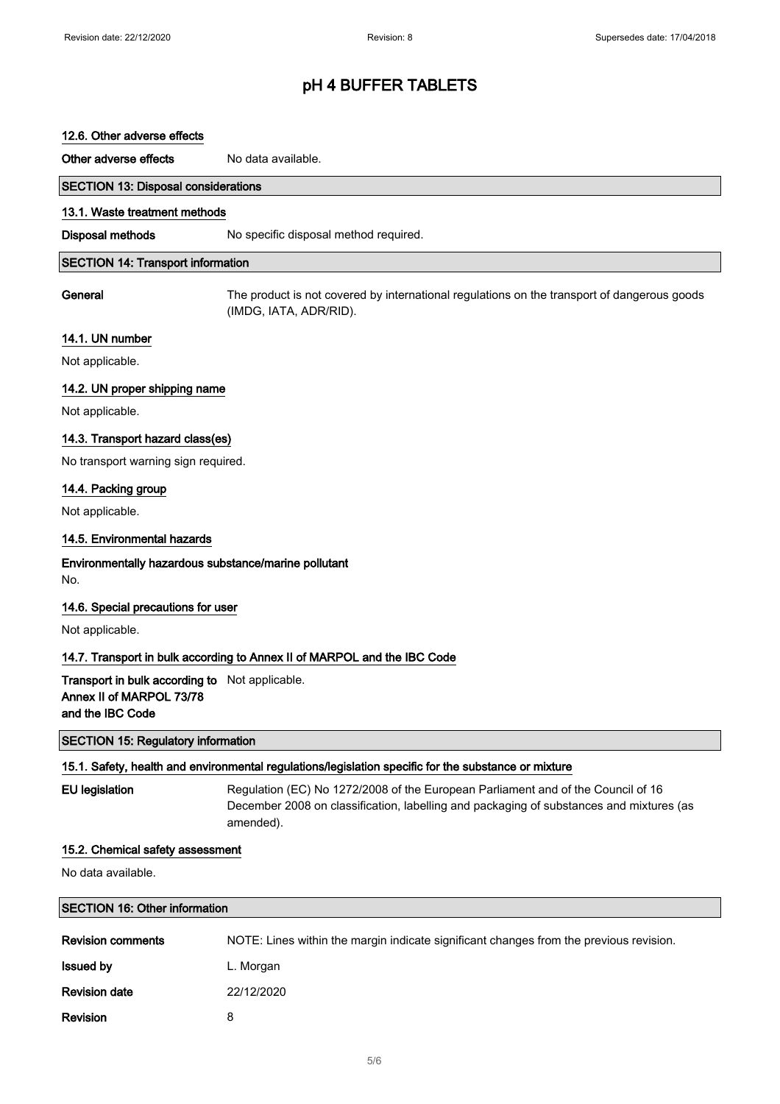#### 12.6. Other adverse effects

Other adverse effects No data available.

# SECTION 13: Disposal considerations

#### 13.1. Waste treatment methods

Disposal methods No specific disposal method required.

#### SECTION 14: Transport information

General The product is not covered by international regulations on the transport of dangerous goods (IMDG, IATA, ADR/RID).

#### 14.1. UN number

Not applicable.

#### 14.2. UN proper shipping name

Not applicable.

#### 14.3. Transport hazard class(es)

No transport warning sign required.

#### 14.4. Packing group

Not applicable.

#### 14.5. Environmental hazards

#### Environmentally hazardous substance/marine pollutant No.

#### 14.6. Special precautions for user

Not applicable.

#### 14.7. Transport in bulk according to Annex II of MARPOL and the IBC Code

Transport in bulk according to Not applicable. Annex II of MARPOL 73/78 and the IBC Code

#### SECTION 15: Regulatory information

#### 15.1. Safety, health and environmental regulations/legislation specific for the substance or mixture

EU legislation Regulation (EC) No 1272/2008 of the European Parliament and of the Council of 16 December 2008 on classification, labelling and packaging of substances and mixtures (as amended).

#### 15.2. Chemical safety assessment

No data available.

#### SECTION 16: Other information

| <b>Revision comments</b> | NOTE: Lines within the margin indicate significant changes from the previous revision. |
|--------------------------|----------------------------------------------------------------------------------------|
| <b>Issued by</b>         | L. Morgan                                                                              |
| <b>Revision date</b>     | 22/12/2020                                                                             |
| Revision                 |                                                                                        |